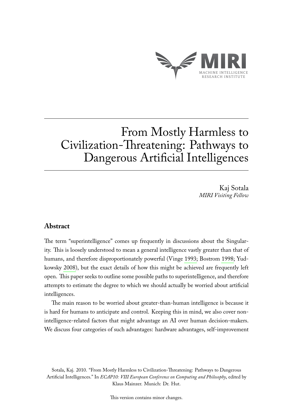

# From Mostly Harmless to Civilization-Threatening: Pathways to Dangerous Artificial Intelligences

Kaj Sotala *MIRI Visiting Fellow*

# **Abstract**

The term "superintelligence" comes up frequently in discussions about the Singularity. This is loosely understood to mean a general intelligence vastly greater than that of humans, and therefore disproportionately powerful (Vinge [1993;](#page-7-0) Bostrom [1998;](#page-6-0) Yudkowsky [2008\)](#page-7-1), but the exact details of how this might be achieved are frequently left open. This paper seeks to outline some possible paths to superintelligence, and therefore attempts to estimate the degree to which we should actually be worried about artificial intelligences.

The main reason to be worried about greater-than-human intelligence is because it is hard for humans to anticipate and control. Keeping this in mind, we also cover nonintelligence-related factors that might advantage an AI over human decision-makers. We discuss four categories of such advantages: hardware advantages, self-improvement

Sotala, Kaj. 2010. "From Mostly Harmless to Civilization-Threatening: Pathways to Dangerous Artificial Intelligences." In *ECAP10: VIII European Conference on Computing and Philosophy*, edited by Klaus Mainzer. Munich: Dr. Hut.

This version contains minor changes.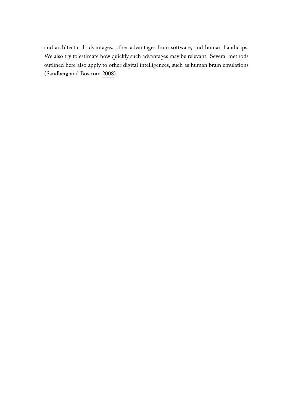and architectural advantages, other advantages from software, and human handicaps. We also try to estimate how quickly such advantages may be relevant. Several methods outlined here also apply to other digital intelligences, such as human brain emulations (Sandberg and Bostrom [2008\)](#page-6-1).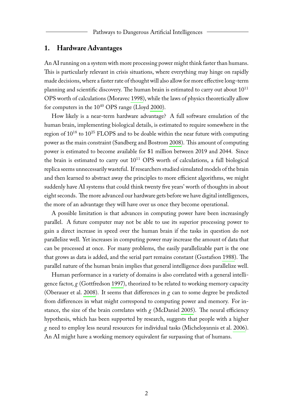### **1. Hardware Advantages**

An AI running on a system with more processing power might think faster than humans. This is particularly relevant in crisis situations, where everything may hinge on rapidly made decisions, where a faster rate of thought will also allow for more effective long-term planning and scientific discovery. The human brain is estimated to carry out about  $10^{11}$ OPS worth of calculations (Moravec [1998\)](#page-6-2), while the laws of physics theoretically allow for computers in the  $10^{40}$  OPS range (Lloyd [2000\)](#page-6-3).

How likely is a near-term hardware advantage? A full software emulation of the human brain, implementing biological details, is estimated to require somewhere in the region of  $10^{18}$  to  $10^{25}$  FLOPS and to be doable within the near future with computing power as the main constraint (Sandberg and Bostrom [2008\)](#page-6-1). This amount of computing power is estimated to become available for \$1 million between 2019 and 2044. Since the brain is estimated to carry out  $10^{11}$  OPS worth of calculations, a full biological replica seems unnecessarily wasteful. If researchers studied simulated models of the brain and then learned to abstract away the principles to more efficient algorithms, we might suddenly have AI systems that could think twenty five years' worth of thoughts in about eight seconds. The more advanced our hardware gets before we have digital intelligences, the more of an advantage they will have over us once they become operational.

A possible limitation is that advances in computing power have been increasingly parallel. A future computer may not be able to use its superior processing power to gain a direct increase in speed over the human brain if the tasks in question do not parallelize well. Yet increases in computing power may increase the amount of data that can be processed at once. For many problems, the easily parallelizable part is the one that grows as data is added, and the serial part remains constant (Gustafson [1988\)](#page-6-4). The parallel nature of the human brain implies that general intelligence does parallelize well.

Human performance in a variety of domains is also correlated with a general intelligence factor, *g* (Gottfredson [1997\)](#page-6-5), theorized to be related to working memory capacity (Oberauer et al. [2008\)](#page-6-6). It seems that differences in *g* can to some degree be predicted from differences in what might correspond to computing power and memory. For instance, the size of the brain correlates with  $g$  (McDaniel [2005\)](#page-6-7). The neural efficiency hypothesis, which has been supported by research, suggests that people with a higher *g* need to employ less neural resources for individual tasks (Micheloyannis et al. [2006\)](#page-6-8). An AI might have a working memory equivalent far surpassing that of humans.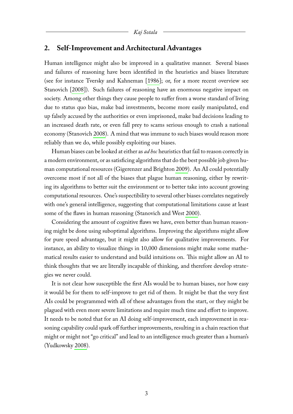#### **2. Self-Improvement and Architectural Advantages**

Human intelligence might also be improved in a qualitative manner. Several biases and failures of reasoning have been identified in the heuristics and biases literature (see for instance Tversky and Kahneman [\[1986\]](#page-7-2); or, for a more recent overview see Stanovich [\[2008\]](#page-7-3)). Such failures of reasoning have an enormous negative impact on society. Among other things they cause people to suffer from a worse standard of living due to status quo bias, make bad investments, become more easily manipulated, end up falsely accused by the authorities or even imprisoned, make bad decisions leading to an increased death rate, or even fall prey to scams serious enough to crash a national economy (Stanovich [2008\)](#page-7-3). A mind that was immune to such biases would reason more reliably than we do, while possibly exploiting our biases.

Human biases can be looked at either as *ad hoc* heuristics that fail to reason correctly in a modern environment, or as satisficing algorithms that do the best possible job given human computational resources (Gigerenzer and Brighton [2009\)](#page-6-9). An AI could potentially overcome most if not all of the biases that plague human reasoning, either by rewriting its algorithms to better suit the environment or to better take into account growing computational resources. One's suspectibility to several other biases correlates negatively with one's general intelligence, suggesting that computational limitations cause at least some of the flaws in human reasoning (Stanovich and West [2000\)](#page-7-4).

Considering the amount of cognitive flaws we have, even better than human reasoning might be done using suboptimal algorithms. Improving the algorithms might allow for pure speed advantage, but it might also allow for qualitative improvements. For instance, an ability to visualize things in 10,000 dimensions might make some mathematical results easier to understand and build intuitions on. This might allow an AI to think thoughts that we are literally incapable of thinking, and therefore develop strategies we never could.

It is not clear how susceptible the first AIs would be to human biases, nor how easy it would be for them to self-improve to get rid of them. It might be that the very first AIs could be programmed with all of these advantages from the start, or they might be plagued with even more severe limitations and require much time and effort to improve. It needs to be noted that for an AI doing self-improvement, each improvement in reasoning capability could spark off further improvements, resulting in a chain reaction that might or might not "go critical" and lead to an intelligence much greater than a human's (Yudkowsky [2008\)](#page-7-1).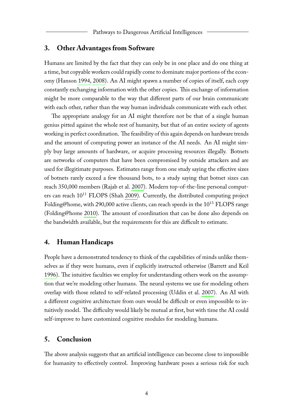#### **3. Other Advantages from Software**

Humans are limited by the fact that they can only be in one place and do one thing at a time, but copyable workers could rapidly come to dominate major portions of the economy (Hanson [1994,](#page-6-10) [2008\)](#page-6-11). An AI might spawn a number of copies of itself, each copy constantly exchanging information with the other copies. This exchange of information might be more comparable to the way that different parts of our brain communicate with each other, rather than the way human individuals communicate with each other.

The appropriate analogy for an AI might therefore not be that of a single human genius pitted against the whole rest of humanity, but that of an entire society of agents working in perfect coordination. The feasibility of this again depends on hardware trends and the amount of computing power an instance of the AI needs. An AI might simply buy large amounts of hardware, or acquire processing resources illegally. Botnets are networks of computers that have been compromised by outside attackers and are used for illegitimate purposes. Estimates range from one study saying the effective sizes of botnets rarely exceed a few thousand bots, to a study saying that botnet sizes can reach 350,000 members (Rajab et al. [2007\)](#page-6-12). Modern top-of-the-line personal computers can reach  $10^{11}$  FLOPS (Shah [2009\)](#page-7-5). Currently, the distributed computing project Folding@home, with 290,000 active clients, can reach speeds in the  $10^{15}$  FLOPS range (Folding@home [2010\)](#page-6-13). The amount of coordination that can be done also depends on the bandwidth available, but the requirements for this are difficult to estimate.

#### **4. Human Handicaps**

People have a demonstrated tendency to think of the capabilities of minds unlike themselves as if they were humans, even if explicitly instructed otherwise (Barrett and Keil [1996\)](#page-6-14). The intuitive faculties we employ for understanding others work on the assumption that we're modeling other humans. The neural systems we use for modeling others overlap with those related to self-related processing (Uddin et al. [2007\)](#page-7-6). An AI with a different cognitive architecture from ours would be difficult or even impossible to intuitively model. The difficulty would likely be mutual at first, but with time the AI could self-improve to have customized cognitive modules for modeling humans.

# **5. Conclusion**

The above analysis suggests that an artificial intelligence can become close to impossible for humanity to effectively control. Improving hardware poses a serious risk for such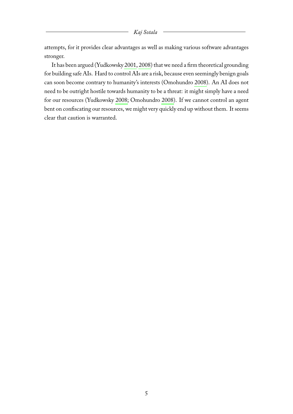attempts, for it provides clear advantages as well as making various software advantages stronger.

It has been argued (Yudkowsky [2001,](#page-7-7) [2008\)](#page-7-1) that we need a firm theoretical grounding for building safe AIs. Hard to control AIs are a risk, because even seemingly benign goals can soon become contrary to humanity's interests (Omohundro [2008\)](#page-6-15). An AI does not need to be outright hostile towards humanity to be a threat: it might simply have a need for our resources (Yudkowsky [2008;](#page-7-1) Omohundro [2008\)](#page-6-15). If we cannot control an agent bent on confiscating our resources, we might very quickly end up without them. It seems clear that caution is warranted.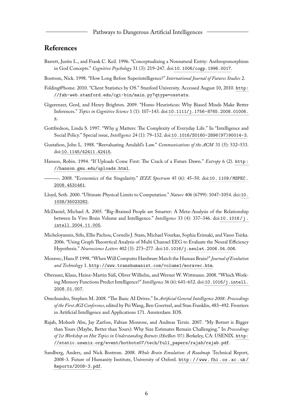## **References**

- <span id="page-6-14"></span>Barrett, Justin L., and Frank C. Keil. 1996. "Conceptualizing a Nonnatural Entity: Anthropomorphism in God Concepts." *Cognitive Psychology* 31 (3): 219–247. doi:[10.1006/cogp.1996.0017](http://dx.doi.org/10.1006/cogp.1996.0017).
- <span id="page-6-0"></span>Bostrom, Nick. 1998. "How Long Before Superintelligence?" *International Journal of Futures Studies* 2.
- <span id="page-6-13"></span>Folding@home. 2010. "Client Statistics by OS." Stanford University. Accessed August 10, 2010. [http:](http://fah-web.stanford.edu/cgi-bin/main.py?qtype=osstats) [//fah-web.stanford.edu/cgi-bin/main.py?qtype=osstats](http://fah-web.stanford.edu/cgi-bin/main.py?qtype=osstats).
- <span id="page-6-9"></span>Gigerenzer, Gerd, and Henry Brighton. 2009. "Homo Heuristicus: Why Biased Minds Make Better Inferences." *Topics in Cognitive Science* 1 (1): 107–143. doi:[10.1111/j.1756-8765.2008.01006.](http://dx.doi.org/10.1111/j.1756-8765.2008.01006.x) [x](http://dx.doi.org/10.1111/j.1756-8765.2008.01006.x).
- <span id="page-6-5"></span>Gottfredson, Linda S. 1997. "Why g Matters: The Complexity of Everyday Life." In "Intelligence and Social Policy." Special issue, *Intelligence* 24 (1): 79–132. doi:[10.1016/S0160-2896\(97\)90014-3](http://dx.doi.org/10.1016/S0160-2896(97)90014-3).
- <span id="page-6-4"></span>Gustafson, John L. 1988. "Reevaluating Amdahl's Law." *Communications of the ACM* 31 (5): 532–533. doi:[10.1145/42411.42415](http://dx.doi.org/10.1145/42411.42415).
- <span id="page-6-11"></span><span id="page-6-10"></span>Hanson, Robin. 1994. "If Uploads Come First: The Crack of a Future Dawn." *Extropy* 6 (2). [http :](http://hanson.gmu.edu/uploads.html) [//hanson.gmu.edu/uploads.html](http://hanson.gmu.edu/uploads.html).
	- . 2008. "Economics of the Singularity." *IEEE Spectrum* 45 (6): 45–50. doi:[10 . 1109 / MSPEC .](http://dx.doi.org/10.1109/MSPEC.2008.4531461) [2008.4531461](http://dx.doi.org/10.1109/MSPEC.2008.4531461).
- <span id="page-6-3"></span>Lloyd, Seth. 2000. "Ultimate Physical Limits to Computation." *Nature* 406 (6799): 1047–1054. doi:[10.](http://dx.doi.org/10.1038/35023282) [1038/35023282](http://dx.doi.org/10.1038/35023282).
- <span id="page-6-7"></span>McDaniel, Michael A. 2005. "Big-Brained People are Smarter: A Meta-Analysis of the Relationship between In Vivo Brain Volume and Intelligence." *Intelligence* 33 (4): 337–346. doi:[10.1016/j.](http://dx.doi.org/10.1016/j.intell.2004.11.005) [intell.2004.11.005](http://dx.doi.org/10.1016/j.intell.2004.11.005).
- <span id="page-6-8"></span>Micheloyannis, Sifis, Ellie Pachou, Cornelis J. Stam, Michael Vourkas, Sophia Erimaki, and Vasso Tsirka. 2006. "Using Graph Theoretical Analysis of Multi Channel EEG to Evaluate the Neural Efficiency Hypothesis." *Neuroscience Letters* 402 (3): 273–277. doi:[10.1016/j.neulet.2006.04.006](http://dx.doi.org/10.1016/j.neulet.2006.04.006).
- <span id="page-6-2"></span>Moravec, Hans P. 1998. "WhenWill Computer Hardware Match the Human Brain?"*Journal of Evolution and Technology* 1. <http://www.transhumanist.com/volume1/moravec.htm>.
- <span id="page-6-6"></span>Oberauer, Klaus, Heinz-Martin Süß, Oliver Wilhelm, and Werner W. Wittmann. 2008. "Which Working Memory Functions Predict Intelligence?" *Intelligence* 36 (6): 641–652. doi:[10.1016/j.intell.](http://dx.doi.org/10.1016/j.intell.2008.01.007) [2008.01.007](http://dx.doi.org/10.1016/j.intell.2008.01.007).
- <span id="page-6-15"></span>Omohundro, Stephen M. 2008. "The Basic AI Drives." In *Artificial General Intelligence 2008: Proceedings of the First AGI Conference,* edited by Pei Wang, Ben Goertzel, and Stan Franklin, 483–492. Frontiers in Artificial Intelligence and Applications 171. Amsterdam: IOS.
- <span id="page-6-12"></span>Rajab, Moheeb Abu, Jay Zarfoss, Fabian Monrose, and Andreas Terzis. 2007. "My Botnet is Bigger than Yours (Maybe, Better than Yours): Why Size Estimates Remain Challenging." In *Proceedings of 1st Workshop on Hot Topics in Understanding Botnets (HotBots '07).*Berkeley, CA: USENIX. [http:](http://static.usenix.org/event/hotbots07/tech/full_papers/rajab/rajab.pdf) [//static.usenix.org/event/hotbots07/tech/full\\_papers/rajab/rajab.pdf](http://static.usenix.org/event/hotbots07/tech/full_papers/rajab/rajab.pdf).
- <span id="page-6-1"></span>Sandberg, Anders, and Nick Bostrom. 2008. *Whole Brain Emulation: A Roadmap.* Technical Report, 2008-3. Future of Humanity Institute, University of Oxford. [http : / / www . fhi . ox . ac . uk /](http://www.fhi.ox.ac.uk/Reports/2008-3.pdf) [Reports/2008-3.pdf](http://www.fhi.ox.ac.uk/Reports/2008-3.pdf).